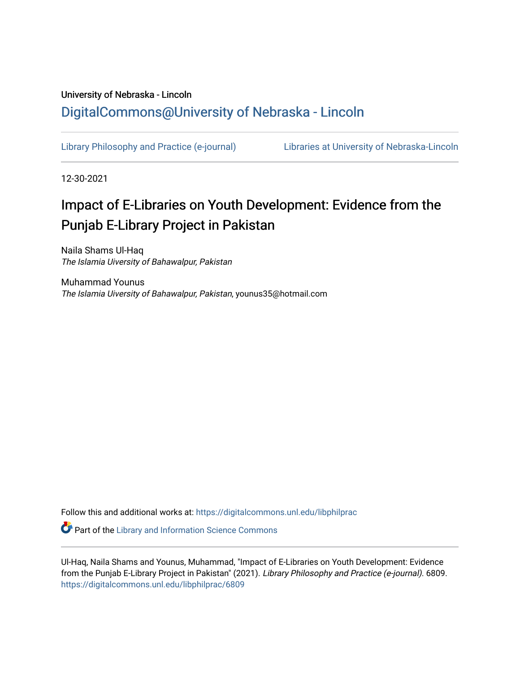### University of Nebraska - Lincoln [DigitalCommons@University of Nebraska - Lincoln](https://digitalcommons.unl.edu/)

[Library Philosophy and Practice \(e-journal\)](https://digitalcommons.unl.edu/libphilprac) [Libraries at University of Nebraska-Lincoln](https://digitalcommons.unl.edu/libraries) 

12-30-2021

## Impact of E-Libraries on Youth Development: Evidence from the Punjab E-Library Project in Pakistan

Naila Shams Ul-Haq The Islamia Uiversity of Bahawalpur, Pakistan

Muhammad Younus The Islamia Uiversity of Bahawalpur, Pakistan, younus35@hotmail.com

Follow this and additional works at: [https://digitalcommons.unl.edu/libphilprac](https://digitalcommons.unl.edu/libphilprac?utm_source=digitalcommons.unl.edu%2Flibphilprac%2F6809&utm_medium=PDF&utm_campaign=PDFCoverPages) 

**C** Part of the Library and Information Science Commons

Ul-Haq, Naila Shams and Younus, Muhammad, "Impact of E-Libraries on Youth Development: Evidence from the Punjab E-Library Project in Pakistan" (2021). Library Philosophy and Practice (e-journal). 6809. [https://digitalcommons.unl.edu/libphilprac/6809](https://digitalcommons.unl.edu/libphilprac/6809?utm_source=digitalcommons.unl.edu%2Flibphilprac%2F6809&utm_medium=PDF&utm_campaign=PDFCoverPages)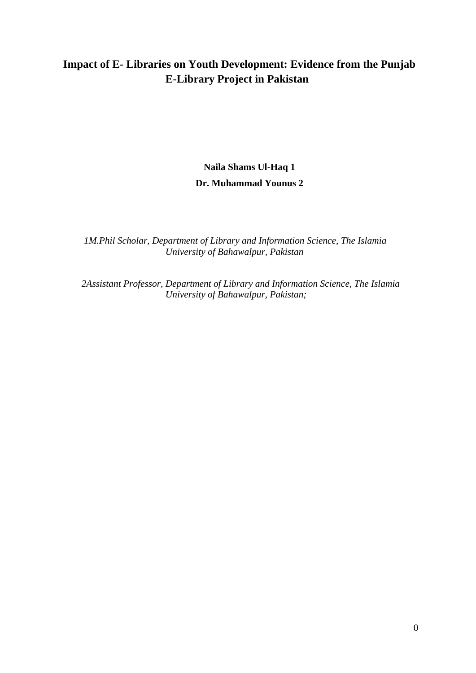### **Impact of E- Libraries on Youth Development: Evidence from the Punjab E-Library Project in Pakistan**

### **Naila Shams Ul-Haq 1 Dr. Muhammad Younus 2**

 *1M.Phil Scholar, Department of Library and Information Science, The Islamia University of Bahawalpur, Pakistan*

 *2Assistant Professor, Department of Library and Information Science, The Islamia University of Bahawalpur, Pakistan;*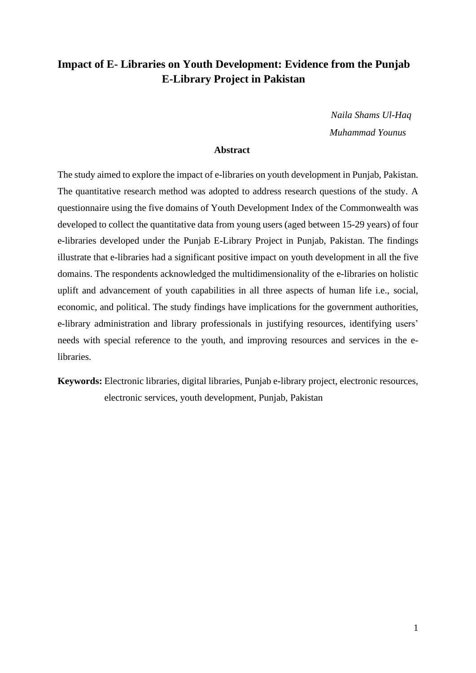### **Impact of E- Libraries on Youth Development: Evidence from the Punjab E-Library Project in Pakistan**

 *Naila Shams Ul-Haq Muhammad Younus*

#### **Abstract**

The study aimed to explore the impact of e-libraries on youth development in Punjab, Pakistan. The quantitative research method was adopted to address research questions of the study. A questionnaire using the five domains of Youth Development Index of the Commonwealth was developed to collect the quantitative data from young users (aged between 15-29 years) of four e-libraries developed under the Punjab E-Library Project in Punjab, Pakistan. The findings illustrate that e-libraries had a significant positive impact on youth development in all the five domains. The respondents acknowledged the multidimensionality of the e-libraries on holistic uplift and advancement of youth capabilities in all three aspects of human life i.e., social, economic, and political. The study findings have implications for the government authorities, e-library administration and library professionals in justifying resources, identifying users' needs with special reference to the youth, and improving resources and services in the elibraries.

**Keywords:** Electronic libraries, digital libraries, Punjab e-library project, electronic resources, electronic services, youth development, Punjab, Pakistan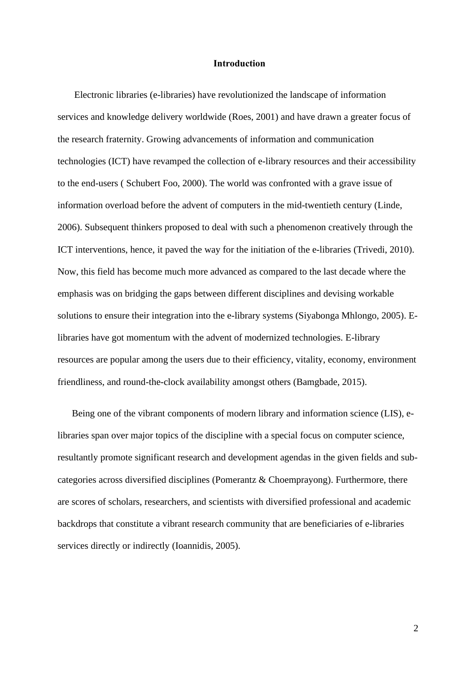#### **Introduction**

Electronic libraries (e-libraries) have revolutionized the landscape of information services and knowledge delivery worldwide (Roes, 2001) and have drawn a greater focus of the research fraternity. Growing advancements of information and communication technologies (ICT) have revamped the collection of e-library resources and their accessibility to the end-users ( Schubert Foo, 2000). The world was confronted with a grave issue of information overload before the advent of computers in the mid-twentieth century (Linde, 2006). Subsequent thinkers proposed to deal with such a phenomenon creatively through the ICT interventions, hence, it paved the way for the initiation of the e-libraries (Trivedi, 2010). Now, this field has become much more advanced as compared to the last decade where the emphasis was on bridging the gaps between different disciplines and devising workable solutions to ensure their integration into the e-library systems (Siyabonga Mhlongo, 2005). Elibraries have got momentum with the advent of modernized technologies. E-library resources are popular among the users due to their efficiency, vitality, economy, environment friendliness, and round-the-clock availability amongst others (Bamgbade, 2015).

Being one of the vibrant components of modern library and information science (LIS), elibraries span over major topics of the discipline with a special focus on computer science, resultantly promote significant research and development agendas in the given fields and subcategories across diversified disciplines (Pomerantz & Choemprayong). Furthermore, there are scores of scholars, researchers, and scientists with diversified professional and academic backdrops that constitute a vibrant research community that are beneficiaries of e-libraries services directly or indirectly (Ioannidis, 2005).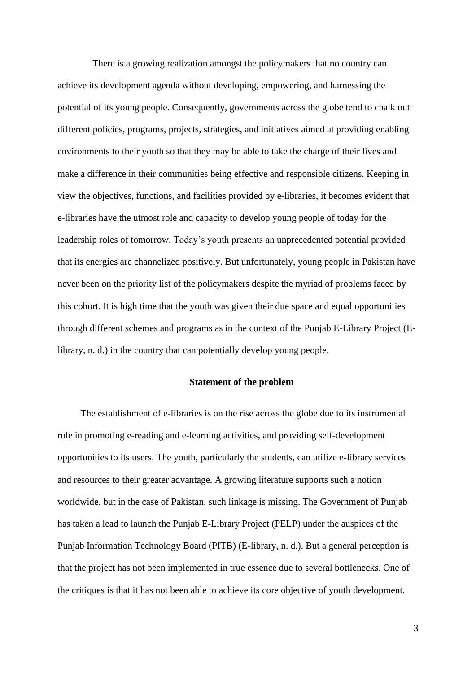There is a growing realization amongst the policymakers that no country can achieve its development agenda without developing, empowering, and harnessing the potential of its young people. Consequently, governments across the globe tend to chalk out different policies, programs, projects, strategies, and initiatives aimed at providing enabling environments to their youth so that they may be able to take the charge of their lives and make a difference in their communities being effective and responsible citizens. Keeping in view the objectives, functions, and facilities provided by e-libraries, it becomes evident that e-libraries have the utmost role and capacity to develop young people of today for the leadership roles of tomorrow. Today's youth presents an unprecedented potential provided that its energies are channelized positively. But unfortunately, young people in Pakistan have never been on the priority list of the policymakers despite the myriad of problems faced by this cohort. It is high time that the youth was given their due space and equal opportunities through different schemes and programs as in the context of the Punjab E-Library Project (Elibrary, n. d.) in the country that can potentially develop young people.

#### **Statement of the problem**

The establishment of e-libraries is on the rise across the globe due to its instrumental role in promoting e-reading and e-learning activities, and providing self-development opportunities to its users. The youth, particularly the students, can utilize e-library services and resources to their greater advantage. A growing literature supports such a notion worldwide, but in the case of Pakistan, such linkage is missing. The Government of Punjab has taken a lead to launch the Punjab E-Library Project (PELP) under the auspices of the Punjab Information Technology Board (PITB) (E-library, n. d.). But a general perception is that the project has not been implemented in true essence due to several bottlenecks. One of the critiques is that it has not been able to achieve its core objective of youth development.

3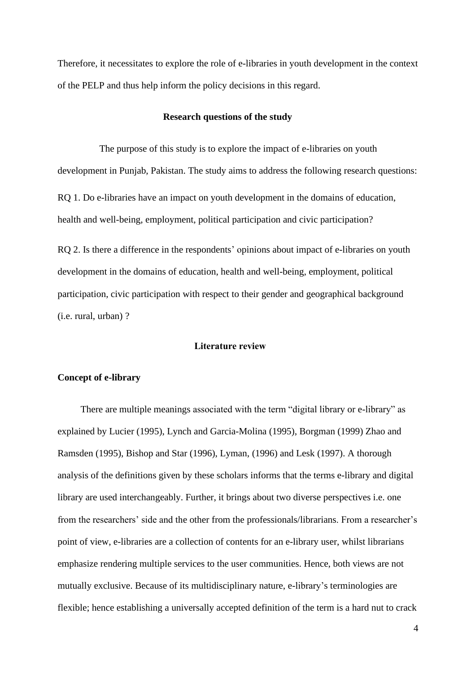Therefore, it necessitates to explore the role of e-libraries in youth development in the context of the PELP and thus help inform the policy decisions in this regard.

#### **Research questions of the study**

 The purpose of this study is to explore the impact of e-libraries on youth development in Punjab, Pakistan. The study aims to address the following research questions: RQ 1. Do e-libraries have an impact on youth development in the domains of education, health and well-being, employment, political participation and civic participation?

RO 2. Is there a difference in the respondents' opinions about impact of e-libraries on youth development in the domains of education, health and well-being, employment, political participation, civic participation with respect to their gender and geographical background (i.e. rural, urban) ?

#### **Literature review**

#### **Concept of e-library**

There are multiple meanings associated with the term "digital library or e-library" as explained by Lucier (1995), Lynch and Garcia-Molina (1995), Borgman (1999) Zhao and Ramsden (1995), Bishop and Star (1996), Lyman, (1996) and Lesk (1997). A thorough analysis of the definitions given by these scholars informs that the terms e-library and digital library are used interchangeably. Further, it brings about two diverse perspectives i.e. one from the researchers' side and the other from the professionals/librarians. From a researcher's point of view, e-libraries are a collection of contents for an e-library user, whilst librarians emphasize rendering multiple services to the user communities. Hence, both views are not mutually exclusive. Because of its multidisciplinary nature, e-library's terminologies are flexible; hence establishing a universally accepted definition of the term is a hard nut to crack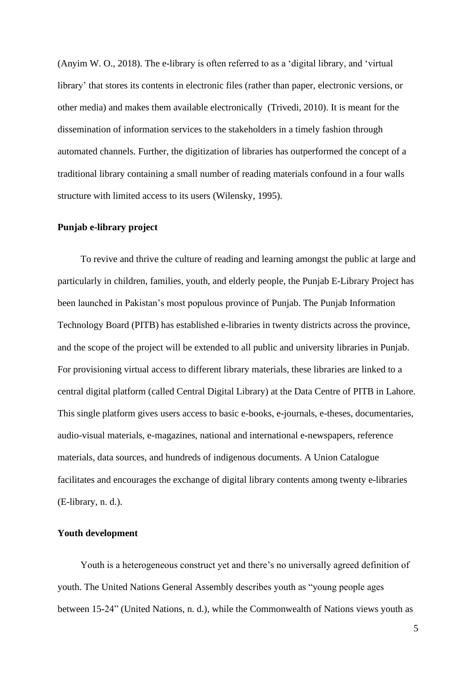(Anyim W. O., 2018). The e-library is often referred to as a 'digital library, and 'virtual library' that stores its contents in electronic files (rather than paper, electronic versions, or other media) and makes them available electronically (Trivedi, 2010). It is meant for the dissemination of information services to the stakeholders in a timely fashion through automated channels. Further, the digitization of libraries has outperformed the concept of a traditional library containing a small number of reading materials confound in a four walls structure with limited access to its users (Wilensky, 1995).

#### **Punjab e-library project**

To revive and thrive the culture of reading and learning amongst the public at large and particularly in children, families, youth, and elderly people, the Punjab E-Library Project has been launched in Pakistan's most populous province of Punjab. The Punjab Information Technology Board (PITB) has established e-libraries in twenty districts across the province, and the scope of the project will be extended to all public and university libraries in Punjab. For provisioning virtual access to different library materials, these libraries are linked to a central digital platform (called Central Digital Library) at the Data Centre of PITB in Lahore. This single platform gives users access to basic e-books, e-journals, e-theses, documentaries, audio-visual materials, e-magazines, national and international e-newspapers, reference materials, data sources, and hundreds of indigenous documents. A Union Catalogue facilitates and encourages the exchange of digital library contents among twenty e-libraries (E-library, n. d.).

#### **Youth development**

Youth is a heterogeneous construct yet and there's no universally agreed definition of youth. The United Nations General Assembly describes youth as "young people ages between 15-24" (United Nations, n. d.), while the Commonwealth of Nations views youth as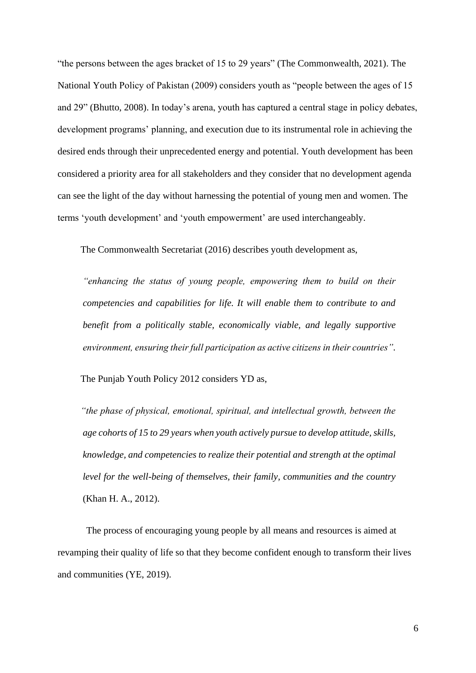"the persons between the ages bracket of 15 to 29 years" (The Commonwealth, 2021). The National Youth Policy of Pakistan (2009) considers youth as "people between the ages of 15 and 29" (Bhutto, 2008). In today's arena, youth has captured a central stage in policy debates, development programs' planning, and execution due to its instrumental role in achieving the desired ends through their unprecedented energy and potential. Youth development has been considered a priority area for all stakeholders and they consider that no development agenda can see the light of the day without harnessing the potential of young men and women. The terms 'youth development' and 'youth empowerment' are used interchangeably.

The Commonwealth Secretariat (2016) describes youth development as,

*"enhancing the status of young people, empowering them to build on their competencies and capabilities for life. It will enable them to contribute to and benefit from a politically stable, economically viable, and legally supportive environment, ensuring their full participation as active citizens in their countries".*

The Punjab Youth Policy 2012 considers YD as,

*"the phase of physical, emotional, spiritual, and intellectual growth, between the age cohorts of 15 to 29 years when youth actively pursue to develop attitude, skills, knowledge, and competencies to realize their potential and strength at the optimal level for the well-being of themselves, their family, communities and the country* (Khan H. A., 2012).

The process of encouraging young people by all means and resources is aimed at revamping their quality of life so that they become confident enough to transform their lives and communities (YE, 2019).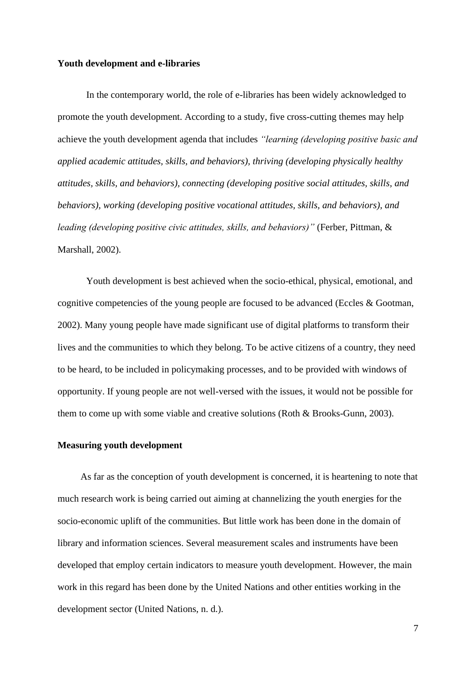#### **Youth development and e-libraries**

In the contemporary world, the role of e-libraries has been widely acknowledged to promote the youth development. According to a study, five cross-cutting themes may help achieve the youth development agenda that includes *"learning (developing positive basic and applied academic attitudes, skills, and behaviors), thriving (developing physically healthy attitudes, skills, and behaviors), connecting (developing positive social attitudes, skills, and behaviors), working (developing positive vocational attitudes, skills, and behaviors), and leading (developing positive civic attitudes, skills, and behaviors)"* (Ferber, Pittman, & Marshall, 2002).

Youth development is best achieved when the socio-ethical, physical, emotional, and cognitive competencies of the young people are focused to be advanced (Eccles & Gootman, 2002). Many young people have made significant use of digital platforms to transform their lives and the communities to which they belong. To be active citizens of a country, they need to be heard, to be included in policymaking processes, and to be provided with windows of opportunity. If young people are not well-versed with the issues, it would not be possible for them to come up with some viable and creative solutions (Roth & Brooks-Gunn, 2003).

#### **Measuring youth development**

As far as the conception of youth development is concerned, it is heartening to note that much research work is being carried out aiming at channelizing the youth energies for the socio-economic uplift of the communities. But little work has been done in the domain of library and information sciences. Several measurement scales and instruments have been developed that employ certain indicators to measure youth development. However, the main work in this regard has been done by the United Nations and other entities working in the development sector (United Nations, n. d.).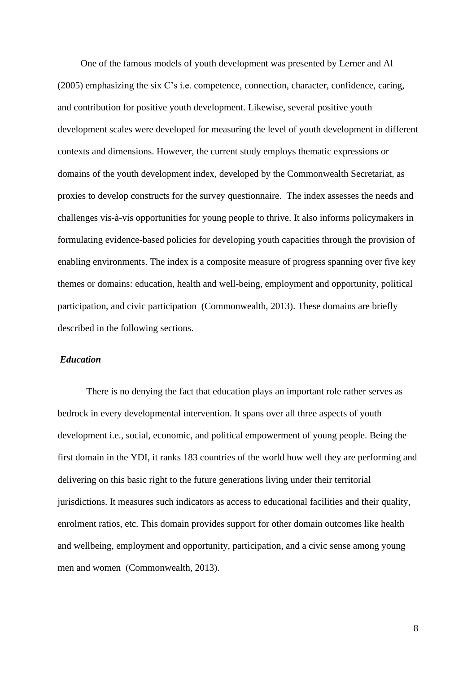One of the famous models of youth development was presented by Lerner and Al (2005) emphasizing the six C's i.e. competence, connection, character, confidence, caring, and contribution for positive youth development. Likewise, several positive youth development scales were developed for measuring the level of youth development in different contexts and dimensions. However, the current study employs thematic expressions or domains of the youth development index, developed by the Commonwealth Secretariat, as proxies to develop constructs for the survey questionnaire. The index assesses the needs and challenges vis-à-vis opportunities for young people to thrive. It also informs policymakers in formulating evidence-based policies for developing youth capacities through the provision of enabling environments. The index is a composite measure of progress spanning over five key themes or domains: education, health and well-being, employment and opportunity, political participation, and civic participation (Commonwealth, 2013). These domains are briefly described in the following sections.

#### *Education*

There is no denying the fact that education plays an important role rather serves as bedrock in every developmental intervention. It spans over all three aspects of youth development i.e., social, economic, and political empowerment of young people. Being the first domain in the YDI, it ranks 183 countries of the world how well they are performing and delivering on this basic right to the future generations living under their territorial jurisdictions. It measures such indicators as access to educational facilities and their quality, enrolment ratios, etc. This domain provides support for other domain outcomes like health and wellbeing, employment and opportunity, participation, and a civic sense among young men and women (Commonwealth, 2013).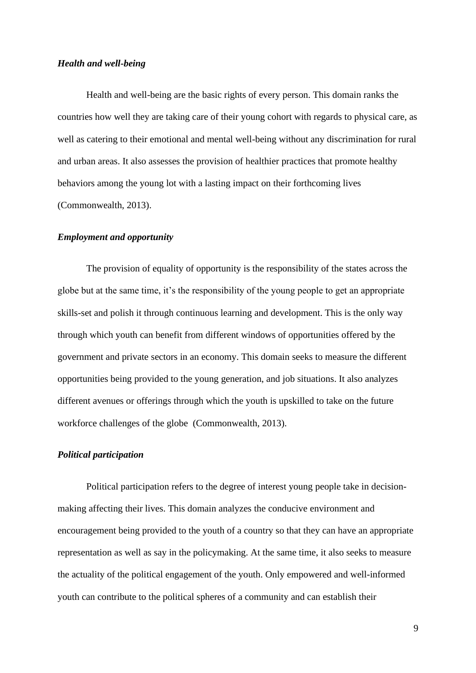#### *Health and well-being*

Health and well-being are the basic rights of every person. This domain ranks the countries how well they are taking care of their young cohort with regards to physical care, as well as catering to their emotional and mental well-being without any discrimination for rural and urban areas. It also assesses the provision of healthier practices that promote healthy behaviors among the young lot with a lasting impact on their forthcoming lives (Commonwealth, 2013).

#### *Employment and opportunity*

The provision of equality of opportunity is the responsibility of the states across the globe but at the same time, it's the responsibility of the young people to get an appropriate skills-set and polish it through continuous learning and development. This is the only way through which youth can benefit from different windows of opportunities offered by the government and private sectors in an economy. This domain seeks to measure the different opportunities being provided to the young generation, and job situations. It also analyzes different avenues or offerings through which the youth is upskilled to take on the future workforce challenges of the globe (Commonwealth, 2013).

#### *Political participation*

Political participation refers to the degree of interest young people take in decisionmaking affecting their lives. This domain analyzes the conducive environment and encouragement being provided to the youth of a country so that they can have an appropriate representation as well as say in the policymaking. At the same time, it also seeks to measure the actuality of the political engagement of the youth. Only empowered and well-informed youth can contribute to the political spheres of a community and can establish their

9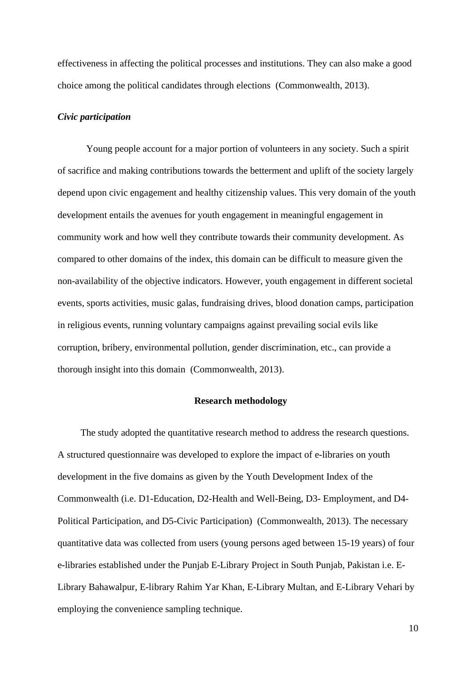effectiveness in affecting the political processes and institutions. They can also make a good choice among the political candidates through elections (Commonwealth, 2013).

#### *Civic participation*

Young people account for a major portion of volunteers in any society. Such a spirit of sacrifice and making contributions towards the betterment and uplift of the society largely depend upon civic engagement and healthy citizenship values. This very domain of the youth development entails the avenues for youth engagement in meaningful engagement in community work and how well they contribute towards their community development. As compared to other domains of the index, this domain can be difficult to measure given the non-availability of the objective indicators. However, youth engagement in different societal events, sports activities, music galas, fundraising drives, blood donation camps, participation in religious events, running voluntary campaigns against prevailing social evils like corruption, bribery, environmental pollution, gender discrimination, etc., can provide a thorough insight into this domain (Commonwealth, 2013).

#### **Research methodology**

The study adopted the quantitative research method to address the research questions. A structured questionnaire was developed to explore the impact of e-libraries on youth development in the five domains as given by the Youth Development Index of the Commonwealth (i.e. D1-Education, D2-Health and Well-Being, D3- Employment, and D4- Political Participation, and D5-Civic Participation) (Commonwealth, 2013). The necessary quantitative data was collected from users (young persons aged between 15-19 years) of four e-libraries established under the Punjab E-Library Project in South Punjab, Pakistan i.e. E-Library Bahawalpur, E-library Rahim Yar Khan, E-Library Multan, and E-Library Vehari by employing the convenience sampling technique.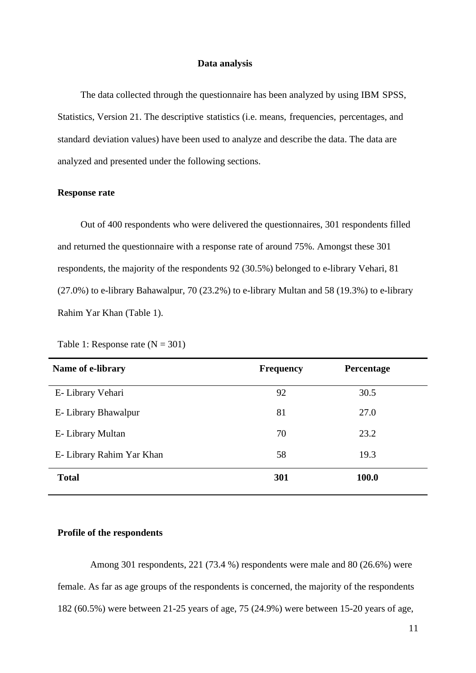#### **Data analysis**

The data collected through the questionnaire has been analyzed by using IBM-SPSS, Statistics, Version 21. The descriptive-statistics (i.e. means, frequencies, percentages, andstandard deviation values) have been used to analyze and describe the data. The data are analyzed and presented under the following sections.

#### **Response rate**

Out of 400 respondents who were delivered the questionnaires, 301 respondents filled and returned the questionnaire with a response rate of around 75%. Amongst these 301 respondents, the majority of the respondents 92 (30.5%) belonged to e-library Vehari, 81 (27.0%) to e-library Bahawalpur, 70 (23.2%) to e-library Multan and 58 (19.3%) to e-library Rahim Yar Khan (Table 1).

| Name of e-library         | <b>Frequency</b> | Percentage |
|---------------------------|------------------|------------|
| E- Library Vehari         | 92               | 30.5       |
| E- Library Bhawalpur      | 81               | 27.0       |
| E- Library Multan         | 70               | 23.2       |
| E- Library Rahim Yar Khan | 58               | 19.3       |
| <b>Total</b>              | 301              | 100.0      |

Table 1: Response rate  $(N = 301)$ 

#### **Profile of the respondents**

Among 301 respondents, 221 (73.4 %) respondents were male and 80 (26.6%) were female. As far as age groups of the respondents is concerned, the majority of the respondents 182 (60.5%) were between 21-25 years of age, 75 (24.9%) were between 15-20 years of age,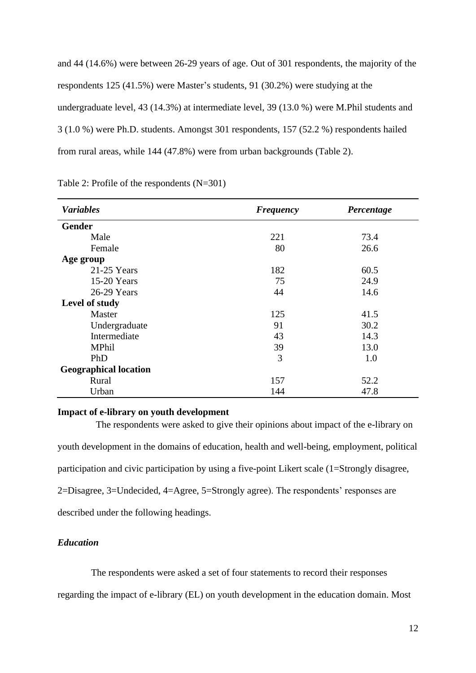and 44 (14.6%) were between 26-29 years of age. Out of 301 respondents, the majority of the respondents 125 (41.5%) were Master's students, 91 (30.2%) were studying at the undergraduate level, 43 (14.3%) at intermediate level, 39 (13.0 %) were M.Phil students and 3 (1.0 %) were Ph.D. students. Amongst 301 respondents, 157 (52.2 %) respondents hailed from rural areas, while 144 (47.8%) were from urban backgrounds (Table 2).

| <b>Variables</b>             | <b>Frequency</b> |      |
|------------------------------|------------------|------|
| <b>Gender</b>                |                  |      |
| Male                         | 221              | 73.4 |
| Female                       | 80               | 26.6 |
| Age group                    |                  |      |
| $21-25$ Years                | 182              | 60.5 |
| 15-20 Years                  | 75               | 24.9 |
| 26-29 Years                  | 44               | 14.6 |
| Level of study               |                  |      |
| Master                       | 125              | 41.5 |
| Undergraduate                | 91               | 30.2 |
| Intermediate                 | 43               | 14.3 |
| <b>MPhil</b>                 | 39               | 13.0 |
| PhD                          | 3                | 1.0  |
| <b>Geographical location</b> |                  |      |
| Rural                        | 157              | 52.2 |
| Urban                        | 144              | 47.8 |

Table 2: Profile of the respondents (N=301)

#### **Impact of e-library on youth development**

 The respondents were asked to give their opinions about impact of the e-library on youth development in the domains of education, health and well-being, employment, political participation and civic participation by using a five-point Likert scale (1=Strongly disagree, 2=Disagree, 3=Undecided, 4=Agree, 5=Strongly agree). The respondents' responses are described under the following headings.

#### *Education*

The respondents were asked a set of four statements to record their responses

regarding the impact of e-library (EL) on youth development in the education domain. Most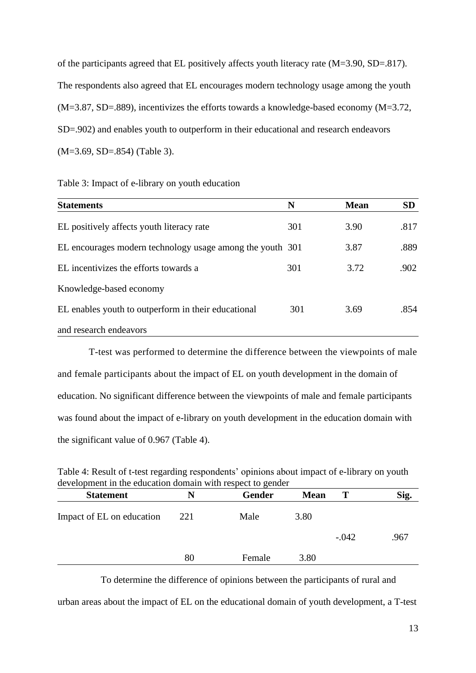of the participants agreed that EL positively affects youth literacy rate (M=3.90, SD=.817). The respondents also agreed that EL encourages modern technology usage among the youth  $(M=3.87, SD=.889)$ , incentivizes the efforts towards a knowledge-based economy  $(M=3.72,$ SD=.902) and enables youth to outperform in their educational and research endeavors (M=3.69, SD=.854) (Table 3).

|  |  |  |  | Table 3: Impact of e-library on youth education |
|--|--|--|--|-------------------------------------------------|
|--|--|--|--|-------------------------------------------------|

| <b>Statements</b>                                         | N   | <b>Mean</b> | <b>SD</b> |
|-----------------------------------------------------------|-----|-------------|-----------|
| EL positively affects youth literacy rate                 | 301 | 3.90        | .817      |
| EL encourages modern technology usage among the youth 301 |     | 3.87        | .889      |
| EL incentivizes the efforts towards a                     | 301 | 3.72        | .902      |
| Knowledge-based economy                                   |     |             |           |
| EL enables youth to outperform in their educational       | 301 | 3.69        | .854      |
| and research endeavors                                    |     |             |           |

T-test was performed to determine the difference between the viewpoints of male and female participants about the impact of EL on youth development in the domain of education. No significant difference between the viewpoints of male and female participants was found about the impact of e-library on youth development in the education domain with the significant value of 0.967 (Table 4).

Table 4: Result of t-test regarding respondents' opinions about impact of e-library on youth development in the education domain with respect to gender

| <b>Statement</b>          | N   | Gender | <b>Mean</b> | Т       | Sig. |
|---------------------------|-----|--------|-------------|---------|------|
| Impact of EL on education | 221 | Male   | 3.80        |         |      |
|                           |     |        |             | $-.042$ | .967 |
|                           | 80  | Female | 3.80        |         |      |

 To determine the difference of opinions between the participants of rural and urban areas about the impact of EL on the educational domain of youth development, a T-test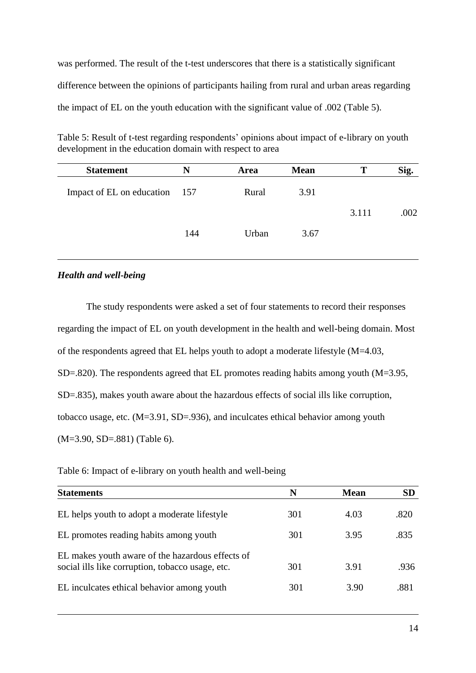was performed. The result of the t-test underscores that there is a statistically significant difference between the opinions of participants hailing from rural and urban areas regarding the impact of EL on the youth education with the significant value of .002 (Table 5).

Table 5: Result of t-test regarding respondents' opinions about impact of e-library on youth development in the education domain with respect to area

| N                             | <b>Area</b> | <b>Mean</b> | Т     | Sig. |
|-------------------------------|-------------|-------------|-------|------|
| Impact of EL on education 157 | Rural       | 3.91        |       |      |
|                               |             |             | 3.111 | .002 |
| 144                           | Urban       | 3.67        |       |      |
|                               |             |             |       |      |

#### *Health and well-being*

The study respondents were asked a set of four statements to record their responses regarding the impact of EL on youth development in the health and well-being domain. Most of the respondents agreed that EL helps youth to adopt a moderate lifestyle (M=4.03, SD=.820). The respondents agreed that EL promotes reading habits among youth (M=3.95, SD=.835), makes youth aware about the hazardous effects of social ills like corruption, tobacco usage, etc. (M=3.91, SD=.936), and inculcates ethical behavior among youth (M=3.90, SD=.881) (Table 6).

| Table 6: Impact of e-library on youth health and well-being |  |  |  |
|-------------------------------------------------------------|--|--|--|
|-------------------------------------------------------------|--|--|--|

| <b>Statements</b>                                                                                    | N   | <b>Mean</b> | <b>SD</b> |
|------------------------------------------------------------------------------------------------------|-----|-------------|-----------|
| EL helps youth to adopt a moderate lifestyle                                                         | 301 | 4.03        | .820      |
| EL promotes reading habits among youth                                                               | 301 | 3.95        | .835      |
| EL makes youth aware of the hazardous effects of<br>social ills like corruption, tobacco usage, etc. | 301 | 3.91        | .936      |
| EL inculcates ethical behavior among youth                                                           | 301 | 3.90        | .881      |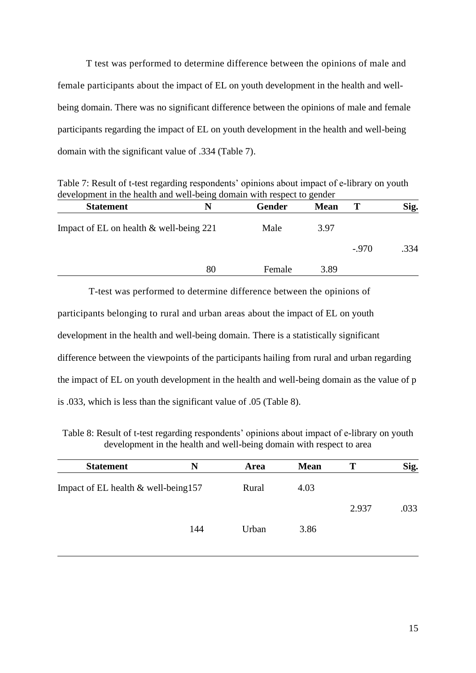T test was performed to determine difference between the opinions of male and female participants about the impact of EL on youth development in the health and wellbeing domain. There was no significant difference between the opinions of male and female participants regarding the impact of EL on youth development in the health and well-being domain with the significant value of .334 (Table 7).

Table 7: Result of t-test regarding respondents' opinions about impact of e-library on youth development in the health and well-being domain with respect to gender

| <b>Statement</b>                        | N  | <b>Gender</b> | <b>Mean</b> | T       | Sig. |
|-----------------------------------------|----|---------------|-------------|---------|------|
| Impact of EL on health & well-being 221 |    | Male          | 3.97        |         |      |
|                                         |    |               |             | $-.970$ | .334 |
|                                         | 80 | Female        | 3.89        |         |      |

T-test was performed to determine difference between the opinions of participants belonging to rural and urban areas about the impact of EL on youth development in the health and well-being domain. There is a statistically significant difference between the viewpoints of the participants hailing from rural and urban regarding the impact of EL on youth development in the health and well-being domain as the value of p is .033, which is less than the significant value of .05 (Table 8).

Table 8: Result of t-test regarding respondents' opinions about impact of e-library on youth development in the health and well-being domain with respect to area

| <b>Statement</b>                       | N   | Area  | <b>Mean</b> |       | Sig. |
|----------------------------------------|-----|-------|-------------|-------|------|
| Impact of EL health $&$ well-being 157 |     | Rural | 4.03        |       |      |
|                                        |     |       |             | 2.937 | .033 |
|                                        | 144 | Urban | 3.86        |       |      |
|                                        |     |       |             |       |      |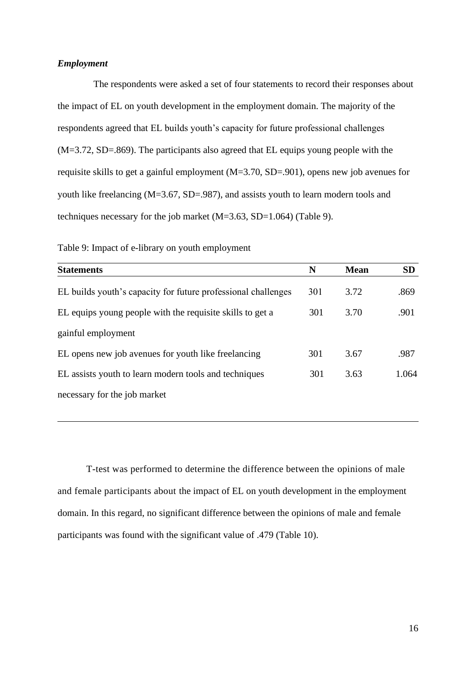#### *Employment*

 The respondents were asked a set of four statements to record their responses about the impact of EL on youth development in the employment domain. The majority of the respondents agreed that EL builds youth's capacity for future professional challenges (M=3.72, SD=.869). The participants also agreed that EL equips young people with the requisite skills to get a gainful employment (M=3.70, SD=.901), opens new job avenues for youth like freelancing (M=3.67, SD=.987), and assists youth to learn modern tools and techniques necessary for the job market  $(M=3.63, SD=1.064)$  (Table 9).

| <b>Statements</b>                                             | N   | <b>Mean</b> | <b>SD</b> |
|---------------------------------------------------------------|-----|-------------|-----------|
| EL builds youth's capacity for future professional challenges | 301 | 3.72        | .869      |
| EL equips young people with the requisite skills to get a     | 301 | 3.70        | .901      |
| gainful employment                                            |     |             |           |
| EL opens new job avenues for youth like freelancing           | 301 | 3.67        | .987      |
| EL assists youth to learn modern tools and techniques         | 301 | 3.63        | 1.064     |
| necessary for the job market                                  |     |             |           |

Table 9: Impact of e-library on youth employment

T-test was performed to determine the difference between the opinions of male and female participants about the impact of EL on youth development in the employment domain. In this regard, no significant difference between the opinions of male and female participants was found with the significant value of .479 (Table 10).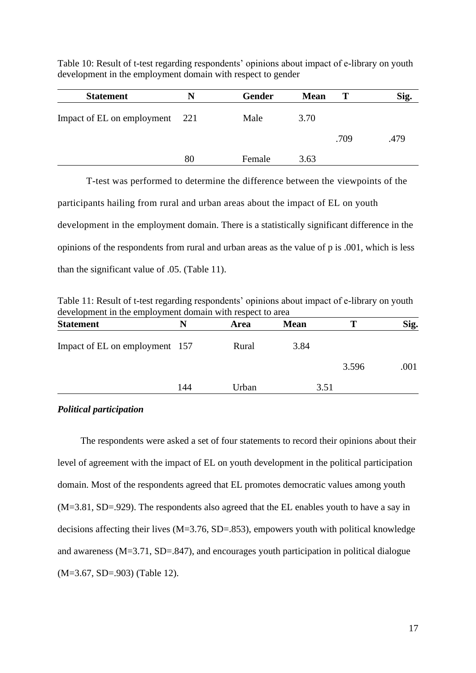Table 10: Result of t-test regarding respondents' opinions about impact of e-library on youth development in the employment domain with respect to gender

| <b>Statement</b>           | N   | <b>Gender</b> | <b>Mean</b> | Т    | Sig. |
|----------------------------|-----|---------------|-------------|------|------|
| Impact of EL on employment | 221 | Male          | 3.70        |      |      |
|                            |     |               |             | .709 | .479 |
|                            | 80  | Female        | 3.63        |      |      |

T-test was performed to determine the difference between the viewpoints of the participants hailing from rural and urban areas about the impact of EL on youth development in the employment domain. There is a statistically significant difference in the opinions of the respondents from rural and urban areas as the value of p is .001, which is less than the significant value of .05. (Table 11).

Table 11: Result of t-test regarding respondents' opinions about impact of e-library on youth development in the employment domain with respect to area

| <b>Statement</b>               | N   | Area  | <b>Mean</b> | т     | Sig. |
|--------------------------------|-----|-------|-------------|-------|------|
| Impact of EL on employment 157 |     | Rural | 3.84        |       |      |
|                                |     |       |             | 3.596 | .001 |
|                                | 144 | Urban | 3.51        |       |      |
|                                |     |       |             |       |      |

#### *Political participation*

The respondents were asked a set of four statements to record their opinions about their level of agreement with the impact of EL on youth development in the political participation domain. Most of the respondents agreed that EL promotes democratic values among youth (M=3.81, SD=.929). The respondents also agreed that the EL enables youth to have a say in decisions affecting their lives (M=3.76, SD=.853), empowers youth with political knowledge and awareness (M=3.71, SD=.847), and encourages youth participation in political dialogue (M=3.67, SD=.903) (Table 12).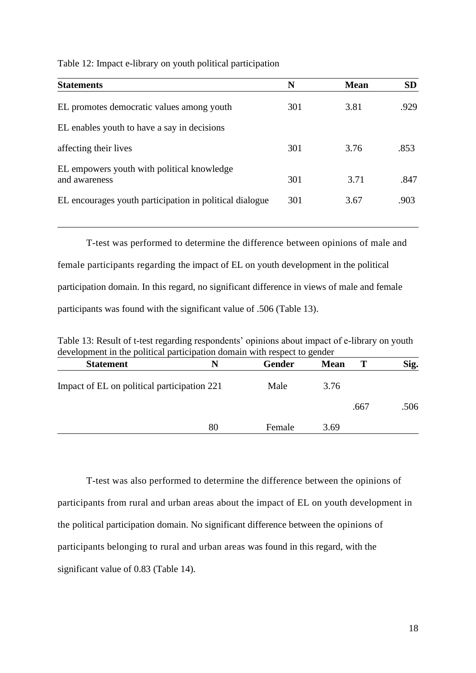Table 12: Impact e-library on youth political participation

| <b>Statements</b>                                           | N   | <b>Mean</b> | <b>SD</b> |
|-------------------------------------------------------------|-----|-------------|-----------|
| EL promotes democratic values among youth                   | 301 | 3.81        | .929      |
| EL enables youth to have a say in decisions                 |     |             |           |
| affecting their lives                                       | 301 | 3.76        | .853      |
| EL empowers youth with political knowledge<br>and awareness | 301 | 3.71        | .847      |
| EL encourages youth participation in political dialogue     | 301 | 3.67        | .903      |

T-test was performed to determine the difference between opinions of male and female participants regarding the impact of EL on youth development in the political participation domain. In this regard, no significant difference in views of male and female participants was found with the significant value of .506 (Table 13).

Table 13: Result of t-test regarding respondents' opinions about impact of e-library on youth development in the political participation domain with respect to gender

| <b>Statement</b>                            | N  | Gender | <b>Mean</b> |      | Sig. |
|---------------------------------------------|----|--------|-------------|------|------|
| Impact of EL on political participation 221 |    | Male   | 3.76        |      |      |
|                                             |    |        |             | .667 | .506 |
|                                             | 80 | Female | 3.69        |      |      |

T-test was also performed to determine the difference between the opinions of participants from rural and urban areas about the impact of EL on youth development in the political participation domain. No significant difference between the opinions of participants belonging to rural and urban areas was found in this regard, with the significant value of 0.83 (Table 14).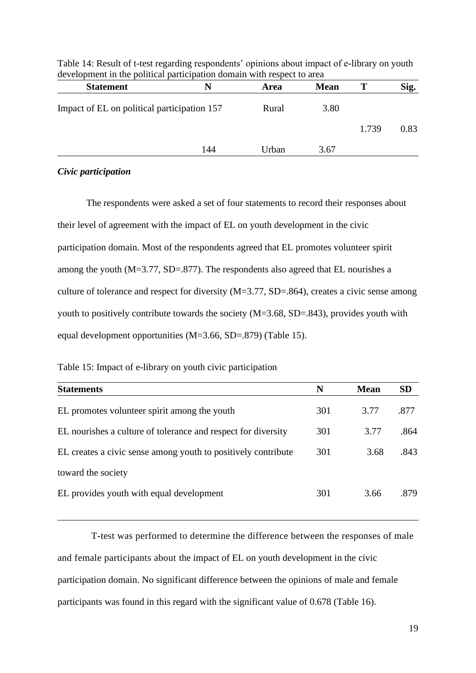| <b>Statement</b>                            | N   | Area  | <b>Mean</b> | Т     | Sig. |
|---------------------------------------------|-----|-------|-------------|-------|------|
| Impact of EL on political participation 157 |     | Rural | 3.80        |       |      |
|                                             |     |       |             | 1.739 | 0.83 |
|                                             | 144 | Urban | 3.67        |       |      |

Table 14: Result of t-test regarding respondents' opinions about impact of e-library on youth development in the political participation domain with respect to area

#### *Civic participation*

The respondents were asked a set of four statements to record their responses about their level of agreement with the impact of EL on youth development in the civic participation domain. Most of the respondents agreed that EL promotes volunteer spirit among the youth (M=3.77, SD=.877). The respondents also agreed that EL nourishes a culture of tolerance and respect for diversity (M=3.77, SD=.864), creates a civic sense among youth to positively contribute towards the society (M=3.68, SD=.843), provides youth with equal development opportunities (M=3.66, SD=.879) (Table 15).

| <b>Statements</b>                                             | N   | <b>Mean</b> | <b>SD</b> |
|---------------------------------------------------------------|-----|-------------|-----------|
| EL promotes volunteer spirit among the youth                  | 301 | 3.77        | .877      |
| EL nourishes a culture of tolerance and respect for diversity | 301 | 3.77        | .864      |
| EL creates a civic sense among youth to positively contribute | 301 | 3.68        | .843      |
| toward the society                                            |     |             |           |
| EL provides youth with equal development                      | 301 | 3.66        | .879      |

Table 15: Impact of e-library on youth civic participation

 T-test was performed to determine the difference between the responses of male and female participants about the impact of EL on youth development in the civic participation domain. No significant difference between the opinions of male and female participants was found in this regard with the significant value of 0.678 (Table 16).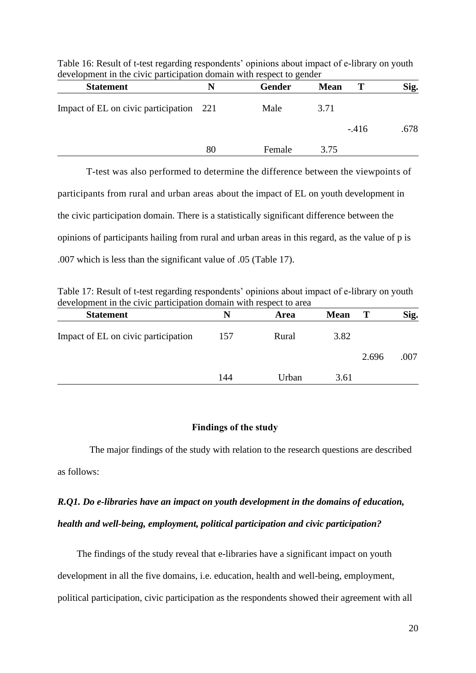| <b>Statement</b>                        |    | <b>Gender</b> | <b>Mean</b> |        | Sig. |
|-----------------------------------------|----|---------------|-------------|--------|------|
| Impact of EL on civic participation 221 |    | Male          | 3.71        |        |      |
|                                         |    |               |             | $-416$ | .678 |
|                                         | 80 | Female        | 3.75        |        |      |

Table 16: Result of t-test regarding respondents' opinions about impact of e-library on youth development in the civic participation domain with respect to gender

T-test was also performed to determine the difference between the viewpoints of participants from rural and urban areas about the impact of EL on youth development in the civic participation domain. There is a statistically significant difference between the opinions of participants hailing from rural and urban areas in this regard, as the value of p is .007 which is less than the significant value of .05 (Table 17).

Table 17: Result of t-test regarding respondents' opinions about impact of e-library on youth development in the civic participation domain with respect to area

| <b>Statement</b>                    | N   | Area  | <b>Mean</b> | Т     | Sig. |
|-------------------------------------|-----|-------|-------------|-------|------|
| Impact of EL on civic participation | 157 | Rural | 3.82        |       |      |
|                                     |     |       |             | 2.696 | .007 |
|                                     | 144 | Urban | 3.61        |       |      |

#### **Findings of the study**

 The major findings of the study with relation to the research questions are described as follows:

## *R.Q1. Do e-libraries have an impact on youth development in the domains of education, health and well-being, employment, political participation and civic participation?*

 The findings of the study reveal that e-libraries have a significant impact on youth development in all the five domains, i.e. education, health and well-being, employment, political participation, civic participation as the respondents showed their agreement with all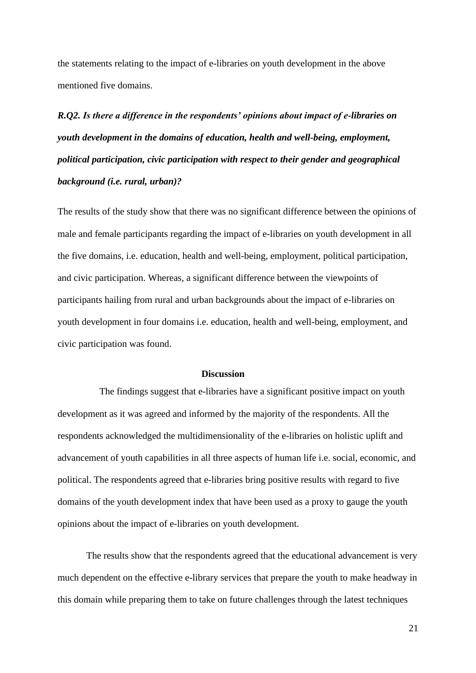the statements relating to the impact of e-libraries on youth development in the above mentioned five domains.

# *R.Q2. Is there a difference in the respondents' opinions about impact of e-libraries on youth development in the domains of education, health and well-being, employment, political participation, civic participation with respect to their gender and geographical background (i.e. rural, urban)?*

The results of the study show that there was no significant difference between the opinions of male and female participants regarding the impact of e-libraries on youth development in all the five domains, i.e. education, health and well-being, employment, political participation, and civic participation. Whereas, a significant difference between the viewpoints of participants hailing from rural and urban backgrounds about the impact of e-libraries on youth development in four domains i.e. education, health and well-being, employment, and civic participation was found.

#### **Discussion**

 The findings suggest that e-libraries have a significant positive impact on youth development as it was agreed and informed by the majority of the respondents. All the respondents acknowledged the multidimensionality of the e-libraries on holistic uplift and advancement of youth capabilities in all three aspects of human life i.e. social, economic, and political. The respondents agreed that e-libraries bring positive results with regard to five domains of the youth development index that have been used as a proxy to gauge the youth opinions about the impact of e-libraries on youth development.

The results show that the respondents agreed that the educational advancement is very much dependent on the effective e-library services that prepare the youth to make headway in this domain while preparing them to take on future challenges through the latest techniques

21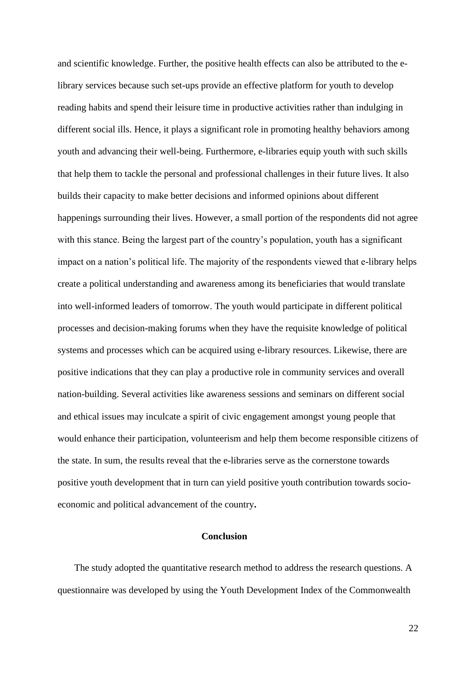and scientific knowledge. Further, the positive health effects can also be attributed to the elibrary services because such set-ups provide an effective platform for youth to develop reading habits and spend their leisure time in productive activities rather than indulging in different social ills. Hence, it plays a significant role in promoting healthy behaviors among youth and advancing their well-being. Furthermore, e-libraries equip youth with such skills that help them to tackle the personal and professional challenges in their future lives. It also builds their capacity to make better decisions and informed opinions about different happenings surrounding their lives. However, a small portion of the respondents did not agree with this stance. Being the largest part of the country's population, youth has a significant impact on a nation's political life. The majority of the respondents viewed that e-library helps create a political understanding and awareness among its beneficiaries that would translate into well-informed leaders of tomorrow. The youth would participate in different political processes and decision-making forums when they have the requisite knowledge of political systems and processes which can be acquired using e-library resources. Likewise, there are positive indications that they can play a productive role in community services and overall nation-building. Several activities like awareness sessions and seminars on different social and ethical issues may inculcate a spirit of civic engagement amongst young people that would enhance their participation, volunteerism and help them become responsible citizens of the state. In sum, the results reveal that the e-libraries serve as the cornerstone towards positive youth development that in turn can yield positive youth contribution towards socioeconomic and political advancement of the country**.**

#### **Conclusion**

 The study adopted the quantitative research method to address the research questions. A questionnaire was developed by using the Youth Development Index of the Commonwealth

22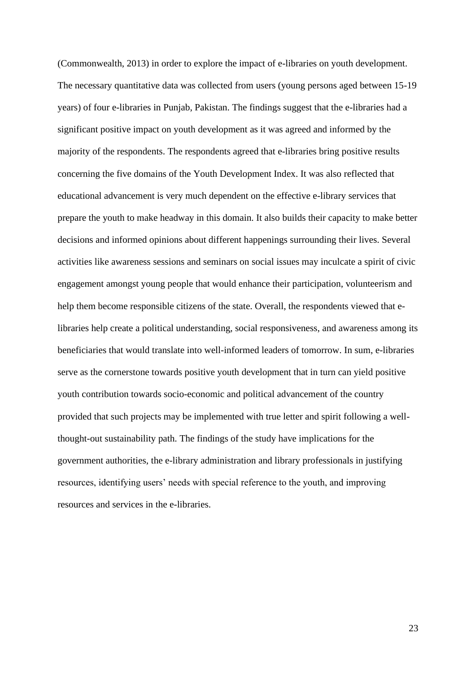(Commonwealth, 2013) in order to explore the impact of e-libraries on youth development. The necessary quantitative data was collected from users (young persons aged between 15-19 years) of four e-libraries in Punjab, Pakistan. The findings suggest that the e-libraries had a significant positive impact on youth development as it was agreed and informed by the majority of the respondents. The respondents agreed that e-libraries bring positive results concerning the five domains of the Youth Development Index. It was also reflected that educational advancement is very much dependent on the effective e-library services that prepare the youth to make headway in this domain. It also builds their capacity to make better decisions and informed opinions about different happenings surrounding their lives. Several activities like awareness sessions and seminars on social issues may inculcate a spirit of civic engagement amongst young people that would enhance their participation, volunteerism and help them become responsible citizens of the state. Overall, the respondents viewed that elibraries help create a political understanding, social responsiveness, and awareness among its beneficiaries that would translate into well-informed leaders of tomorrow. In sum, e-libraries serve as the cornerstone towards positive youth development that in turn can yield positive youth contribution towards socio-economic and political advancement of the country provided that such projects may be implemented with true letter and spirit following a wellthought-out sustainability path. The findings of the study have implications for the government authorities, the e-library administration and library professionals in justifying resources, identifying users' needs with special reference to the youth, and improving resources and services in the e-libraries.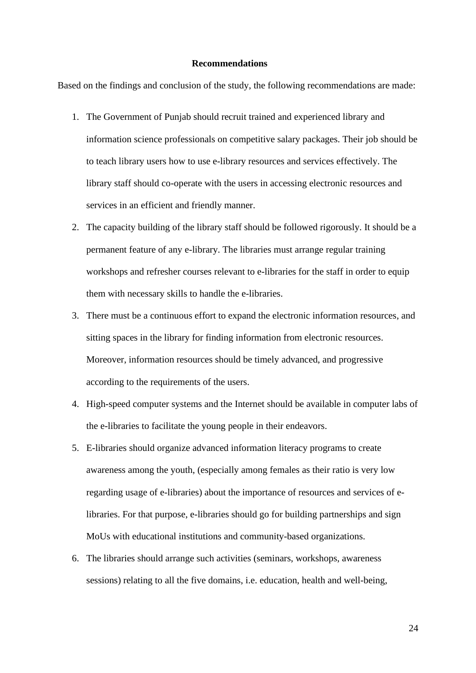#### **Recommendations**

Based on the findings and conclusion of the study, the following recommendations are made:

- 1. The Government of Punjab should recruit trained and experienced library and information science professionals on competitive salary packages. Their job should be to teach library users how to use e-library resources and services effectively. The library staff should co-operate with the users in accessing electronic resources and services in an efficient and friendly manner.
- 2. The capacity building of the library staff should be followed rigorously. It should be a permanent feature of any e-library. The libraries must arrange regular training workshops and refresher courses relevant to e-libraries for the staff in order to equip them with necessary skills to handle the e-libraries.
- 3. There must be a continuous effort to expand the electronic information resources, and sitting spaces in the library for finding information from electronic resources. Moreover, information resources should be timely advanced, and progressive according to the requirements of the users.
- 4. High-speed computer systems and the Internet should be available in computer labs of the e-libraries to facilitate the young people in their endeavors.
- 5. E-libraries should organize advanced information literacy programs to create awareness among the youth, (especially among females as their ratio is very low regarding usage of e-libraries) about the importance of resources and services of elibraries. For that purpose, e-libraries should go for building partnerships and sign MoUs with educational institutions and community-based organizations.
- 6. The libraries should arrange such activities (seminars, workshops, awareness sessions) relating to all the five domains, i.e. education, health and well-being,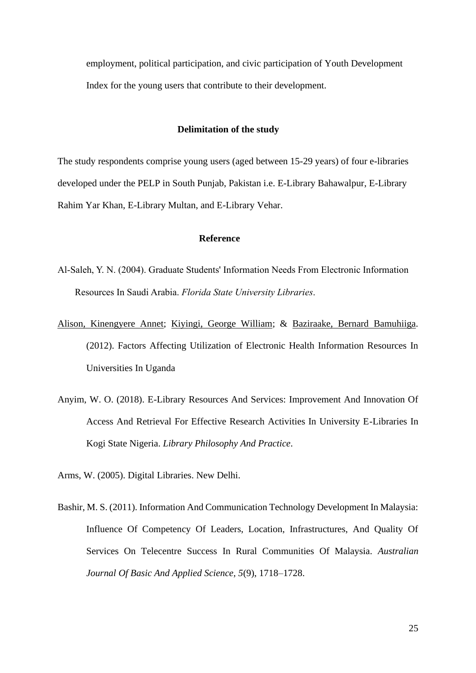employment, political participation, and civic participation of Youth Development Index for the young users that contribute to their development.

#### **Delimitation of the study**

The study respondents comprise young users (aged between 15-29 years) of four e-libraries developed under the PELP in South Punjab, Pakistan i.e. E-Library Bahawalpur, E-Library Rahim Yar Khan, E-Library Multan, and E-Library Vehar.

#### **Reference**

- Al-Saleh, Y. N. (2004). Graduate Students' Information Needs From Electronic Information Resources In Saudi Arabia. *Florida State University Libraries*.
- [Alison, Kinengyere Annet;](http://nopr.niscair.res.in/browse?type=author&value=Alison%2C+Kinengyere+Annet) [Kiyingi, George William;](http://nopr.niscair.res.in/browse?type=author&value=Kiyingi%2C+George+William) & [Baziraake, Bernard Bamuhiiga.](http://nopr.niscair.res.in/browse?type=author&value=Baziraake%2C+Bernard+Bamuhiiga) (2012). Factors Affecting Utilization of Electronic Health Information Resources In Universities In Uganda
- Anyim, W. O. (2018). E-Library Resources And Services: Improvement And Innovation Of Access And Retrieval For Effective Research Activities In University E-Libraries In Kogi State Nigeria. *Library Philosophy And Practice*.

Arms, W. (2005). Digital Libraries. New Delhi.

Bashir, M. S. (2011). Information And Communication Technology Development In Malaysia: Influence Of Competency Of Leaders, Location, Infrastructures, And Quality Of Services On Telecentre Success In Rural Communities Of Malaysia. *Australian Journal Of Basic And Applied Science, 5*(9), 1718–1728.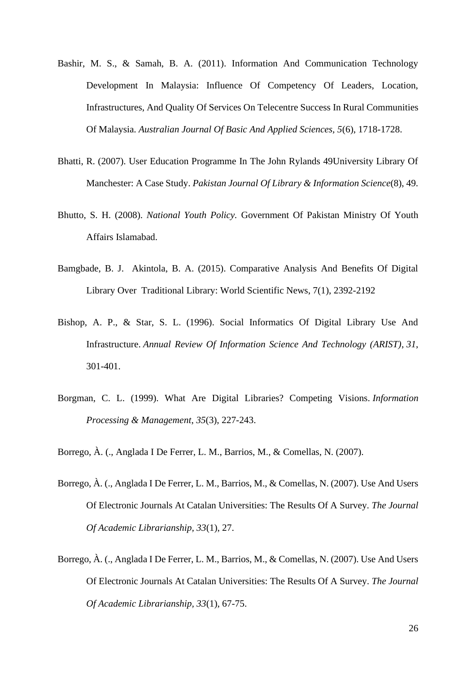- Bashir, M. S., & Samah, B. A. (2011). Information And Communication Technology Development In Malaysia: Influence Of Competency Of Leaders, Location, Infrastructures, And Quality Of Services On Telecentre Success In Rural Communities Of Malaysia. *Australian Journal Of Basic And Applied Sciences, 5*(6), 1718-1728.
- Bhatti, R. (2007). User Education Programme In The John Rylands 49University Library Of Manchester: A Case Study. *Pakistan Journal Of Library & Information Science*(8), 49.
- Bhutto, S. H. (2008). *National Youth Policy.* Government Of Pakistan Ministry Of Youth Affairs Islamabad.
- Bamgbade, B. J. Akintola, B. A. (2015). Comparative Analysis And Benefits Of Digital Library Over Traditional Library: World Scientific News, 7(1), 2392-2192
- Bishop, A. P., & Star, S. L. (1996). Social Informatics Of Digital Library Use And Infrastructure. *Annual Review Of Information Science And Technology (ARIST)*, *31*, 301-401.
- Borgman, C. L. (1999). What Are Digital Libraries? Competing Visions. *Information Processing & Management*, *35*(3), 227-243.
- Borrego, À. (., Anglada I De Ferrer, L. M., Barrios, M., & Comellas, N. (2007).
- Borrego, À. (., Anglada I De Ferrer, L. M., Barrios, M., & Comellas, N. (2007). Use And Users Of Electronic Journals At Catalan Universities: The Results Of A Survey. *The Journal Of Academic Librarianship, 33*(1), 27.
- Borrego, À. (., Anglada I De Ferrer, L. M., Barrios, M., & Comellas, N. (2007). Use And Users Of Electronic Journals At Catalan Universities: The Results Of A Survey. *The Journal Of Academic Librarianship, 33*(1), 67-75.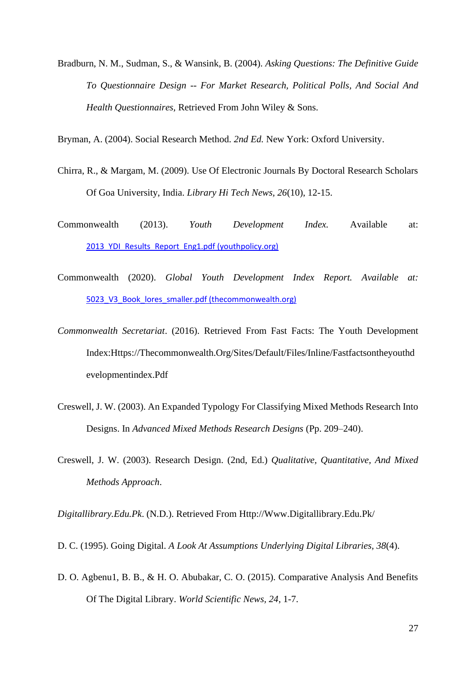Bradburn, N. M., Sudman, S., & Wansink, B. (2004). *Asking Questions: The Definitive Guide To Questionnaire Design -- For Market Research, Political Polls, And Social And Health Questionnaires,* Retrieved From John Wiley & Sons.

Bryman, A. (2004). Social Research Method. *2nd Ed.* New York: Oxford University.

- Chirra, R., & Margam, M. (2009). Use Of Electronic Journals By Doctoral Research Scholars Of Goa University, India. *Library Hi Tech News, 26*(10), 12-15.
- Commonwealth (2013). *Youth Development Index.* Available at: [2013\\_YDI\\_Results\\_Report\\_Eng1.pdf \(youthpolicy.org\)](https://www.youthpolicy.org/library/wp-content/uploads/library/2013_YDI_Results_Report_Eng1.pdf)
- Commonwealth (2020). *Global Youth Development Index Report. Available at:*  [5023\\_V3\\_Book\\_lores\\_smaller.pdf \(thecommonwealth.org\)](https://thecommonwealth.org/sites/default/files/inline/5023_V3_Book_lores_smaller.pdf)
- *Commonwealth Secretariat*. (2016). Retrieved From Fast Facts: The Youth Development Index:Https://Thecommonwealth.Org/Sites/Default/Files/Inline/Fastfactsontheyouthd evelopmentindex.Pdf
- Creswell, J. W. (2003). An Expanded Typology For Classifying Mixed Methods Research Into Designs. In *Advanced Mixed Methods Research Designs* (Pp. 209–240).
- Creswell, J. W. (2003). Research Design. (2nd, Ed.) *Qualitative, Quantitative, And Mixed Methods Approach*.

*Digitallibrary.Edu.Pk*. (N.D.). Retrieved From Http://Www.Digitallibrary.Edu.Pk/

- D. C. (1995). Going Digital. *A Look At Assumptions Underlying Digital Libraries, 38*(4).
- D. O. Agbenu1, B. B., & H. O. Abubakar, C. O. (2015). Comparative Analysis And Benefits Of The Digital Library. *World Scientific News, 24*, 1-7.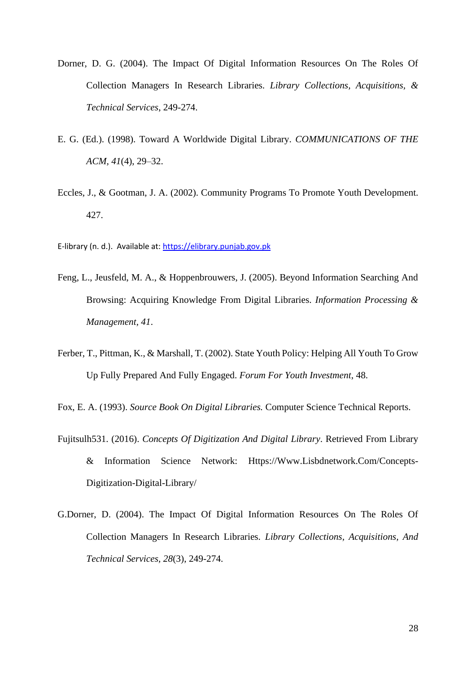- Dorner, D. G. (2004). The Impact Of Digital Information Resources On The Roles Of Collection Managers In Research Libraries. *Library Collections, Acquisitions, & Technical Services*, 249-274.
- E. G. (Ed.). (1998). Toward A Worldwide Digital Library. *COMMUNICATIONS OF THE ACM, 41*(4), 29–32.
- Eccles, J., & Gootman, J. A. (2002). Community Programs To Promote Youth Development. 427.
- E-library (n. d.). Available at[: https://elibrary.punjab.gov.pk](https://elibrary.punjab.gov.pk/)
- Feng, L., Jeusfeld, M. A., & Hoppenbrouwers, J. (2005). Beyond Information Searching And Browsing: Acquiring Knowledge From Digital Libraries. *Information Processing & Management, 41*.
- Ferber, T., Pittman, K., & Marshall, T. (2002). State Youth Policy: Helping All Youth To Grow Up Fully Prepared And Fully Engaged. *Forum For Youth Investment*, 48.

Fox, E. A. (1993). *Source Book On Digital Libraries.* Computer Science Technical Reports.

- Fujitsulh531. (2016). *Concepts Of Digitization And Digital Library*. Retrieved From Library & Information Science Network: Https://Www.Lisbdnetwork.Com/Concepts-Digitization-Digital-Library/
- G.Dorner, D. (2004). The Impact Of Digital Information Resources On The Roles Of Collection Managers In Research Libraries. *Library Collections, Acquisitions, And Technical Services, 28*(3), 249-274.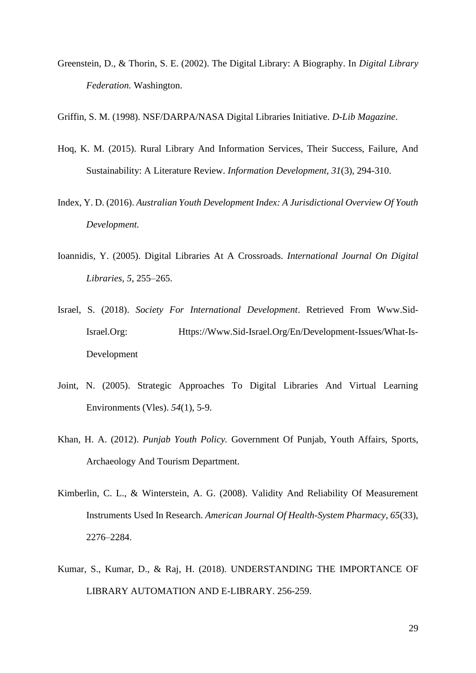Greenstein, D., & Thorin, S. E. (2002). The Digital Library: A Biography. In *Digital Library Federation.* Washington.

Griffin, S. M. (1998). NSF/DARPA/NASA Digital Libraries Initiative. *D-Lib Magazine*.

- Hoq, K. M. (2015). Rural Library And Information Services, Their Success, Failure, And Sustainability: A Literature Review. *Information Development, 31*(3), 294-310.
- Index, Y. D. (2016). *Australian Youth Development Index: A Jurisdictional Overview Of Youth Development.*
- Ioannidis, Y. (2005). Digital Libraries At A Crossroads. *International Journal On Digital Libraries, 5*, 255–265.
- Israel, S. (2018). *Society For International Development*. Retrieved From Www.Sid-Israel.Org: Https://Www.Sid-Israel.Org/En/Development-Issues/What-Is-Development
- Joint, N. (2005). Strategic Approaches To Digital Libraries And Virtual Learning Environments (Vles). *54*(1), 5-9.
- Khan, H. A. (2012). *Punjab Youth Policy.* Government Of Punjab, Youth Affairs, Sports, Archaeology And Tourism Department.
- Kimberlin, C. L., & Winterstein, A. G. (2008). Validity And Reliability Of Measurement Instruments Used In Research. *American Journal Of Health-System Pharmacy, 65*(33), 2276–2284.
- Kumar, S., Kumar, D., & Raj, H. (2018). UNDERSTANDING THE IMPORTANCE OF LIBRARY AUTOMATION AND E-LIBRARY. 256-259.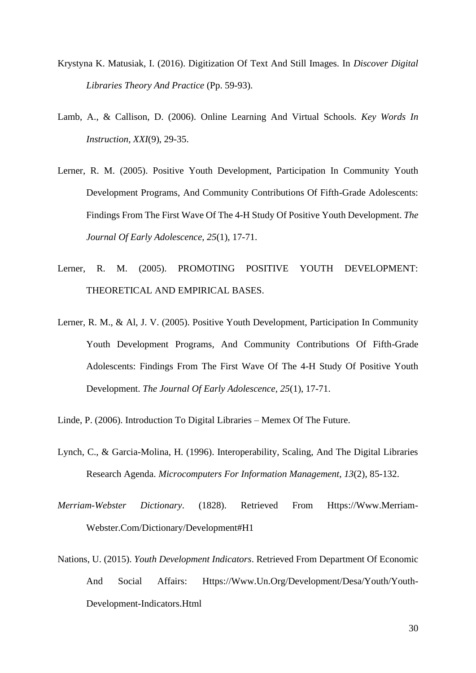- Krystyna K. Matusiak, I. (2016). Digitization Of Text And Still Images. In *Discover Digital Libraries Theory And Practice* (Pp. 59-93).
- Lamb, A., & Callison, D. (2006). Online Learning And Virtual Schools. *Key Words In Instruction, XXI*(9), 29-35.
- Lerner, R. M. (2005). Positive Youth Development, Participation In Community Youth Development Programs, And Community Contributions Of Fifth-Grade Adolescents: Findings From The First Wave Of The 4-H Study Of Positive Youth Development. *The Journal Of Early Adolescence, 25*(1), 17-71.
- Lerner, R. M. (2005). PROMOTING POSITIVE YOUTH DEVELOPMENT: THEORETICAL AND EMPIRICAL BASES.
- Lerner, R. M., & Al, J. V. (2005). Positive Youth Development, Participation In Community Youth Development Programs, And Community Contributions Of Fifth-Grade Adolescents: Findings From The First Wave Of The 4-H Study Of Positive Youth Development. *The Journal Of Early Adolescence, 25*(1), 17-71.
- Linde, P. (2006). Introduction To Digital Libraries Memex Of The Future.
- Lynch, C., & Garcia-Molina, H. (1996). Interoperability, Scaling, And The Digital Libraries Research Agenda. *Microcomputers For Information Management*, *13*(2), 85-132.
- *Merriam-Webster Dictionary*. (1828). Retrieved From Https://Www.Merriam-Webster.Com/Dictionary/Development#H1
- Nations, U. (2015). *Youth Development Indicators*. Retrieved From Department Of Economic And Social Affairs: Https://Www.Un.Org/Development/Desa/Youth/Youth-Development-Indicators.Html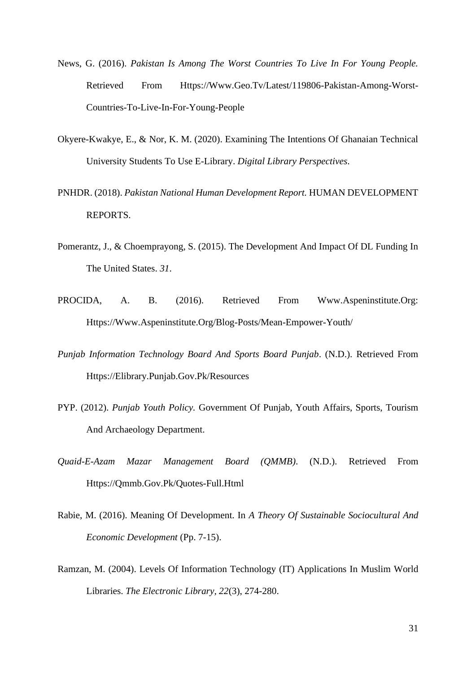- News, G. (2016). *Pakistan Is Among The Worst Countries To Live In For Young People.* Retrieved From Https://Www.Geo.Tv/Latest/119806-Pakistan-Among-Worst-Countries-To-Live-In-For-Young-People
- Okyere-Kwakye, E., & Nor, K. M. (2020). Examining The Intentions Of Ghanaian Technical University Students To Use E-Library. *Digital Library Perspectives*.
- PNHDR. (2018). *Pakistan National Human Development Report.* HUMAN DEVELOPMENT REPORTS.
- Pomerantz, J., & Choemprayong, S. (2015). The Development And Impact Of DL Funding In The United States. *31*.
- PROCIDA, A. B. (2016). Retrieved From Www.Aspeninstitute.Org: Https://Www.Aspeninstitute.Org/Blog-Posts/Mean-Empower-Youth/
- *Punjab Information Technology Board And Sports Board Punjab*. (N.D.). Retrieved From Https://Elibrary.Punjab.Gov.Pk/Resources
- PYP. (2012). *Punjab Youth Policy.* Government Of Punjab, Youth Affairs, Sports, Tourism And Archaeology Department.
- *Quaid-E-Azam Mazar Management Board (QMMB)*. (N.D.). Retrieved From Https://Qmmb.Gov.Pk/Quotes-Full.Html
- Rabie, M. (2016). Meaning Of Development. In *A Theory Of Sustainable Sociocultural And Economic Development* (Pp. 7-15).
- Ramzan, M. (2004). Levels Of Information Technology (IT) Applications In Muslim World Libraries. *The Electronic Library, 22*(3), 274-280.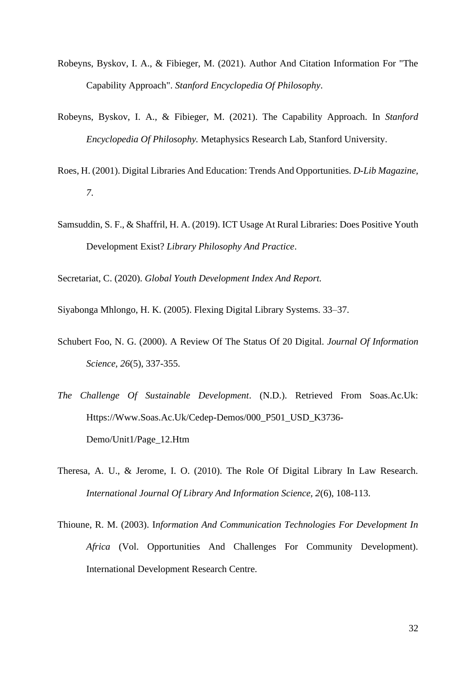- Robeyns, Byskov, I. A., & Fibieger, M. (2021). Author And Citation Information For "The Capability Approach". *Stanford Encyclopedia Of Philosophy*.
- Robeyns, Byskov, I. A., & Fibieger, M. (2021). The Capability Approach. In *Stanford Encyclopedia Of Philosophy.* Metaphysics Research Lab, Stanford University.
- Roes, H. (2001). Digital Libraries And Education: Trends And Opportunities. *D-Lib Magazine, 7*.
- Samsuddin, S. F., & Shaffril, H. A. (2019). ICT Usage At Rural Libraries: Does Positive Youth Development Exist? *Library Philosophy And Practice*.

Secretariat, C. (2020). *Global Youth Development Index And Report.*

Siyabonga Mhlongo, H. K. (2005). Flexing Digital Library Systems. 33–37.

- Schubert Foo, N. G. (2000). A Review Of The Status Of 20 Digital. *Journal Of Information Science, 26*(5), 337-355.
- *The Challenge Of Sustainable Development*. (N.D.). Retrieved From Soas.Ac.Uk: Https://Www.Soas.Ac.Uk/Cedep-Demos/000\_P501\_USD\_K3736- Demo/Unit1/Page\_12.Htm
- Theresa, A. U., & Jerome, I. O. (2010). The Role Of Digital Library In Law Research. *International Journal Of Library And Information Science, 2*(6), 108-113.
- Thioune, R. M. (2003). I*nformation And Communication Technologies For Development In Africa* (Vol. Opportunities And Challenges For Community Development). International Development Research Centre.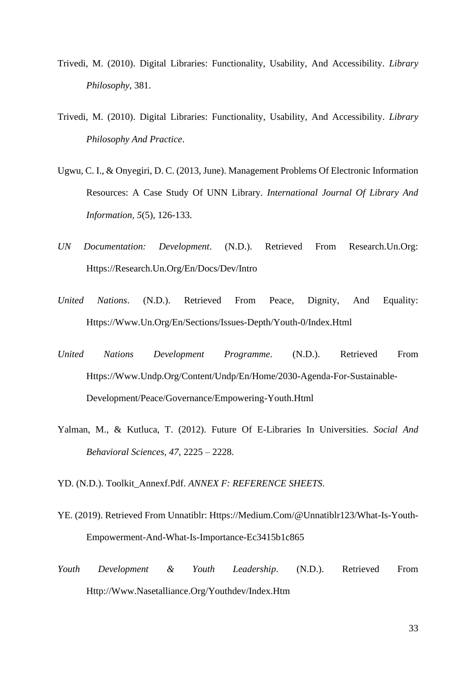- Trivedi, M. (2010). Digital Libraries: Functionality, Usability, And Accessibility. *Library Philosophy*, 381.
- Trivedi, M. (2010). Digital Libraries: Functionality, Usability, And Accessibility. *Library Philosophy And Practice*.
- Ugwu, C. I., & Onyegiri, D. C. (2013, June). Management Problems Of Electronic Information Resources: A Case Study Of UNN Library. *International Journal Of Library And Information, 5*(5), 126-133.
- *UN Documentation: Development*. (N.D.). Retrieved From Research.Un.Org: Https://Research.Un.Org/En/Docs/Dev/Intro
- *United Nations*. (N.D.). Retrieved From Peace, Dignity, And Equality: Https://Www.Un.Org/En/Sections/Issues-Depth/Youth-0/Index.Html
- *United Nations Development Programme*. (N.D.). Retrieved From Https://Www.Undp.Org/Content/Undp/En/Home/2030-Agenda-For-Sustainable-Development/Peace/Governance/Empowering-Youth.Html
- Yalman, M., & Kutluca, T. (2012). Future Of E-Libraries In Universities. *Social And Behavioral Sciences, 47*, 2225 – 2228.
- YD. (N.D.). Toolkit\_Annexf.Pdf. *ANNEX F: REFERENCE SHEETS*.
- YE. (2019). Retrieved From Unnatiblr: Https://Medium.Com/@Unnatiblr123/What-Is-Youth-Empowerment-And-What-Is-Importance-Ec3415b1c865
- *Youth Development & Youth Leadership*. (N.D.). Retrieved From Http://Www.Nasetalliance.Org/Youthdev/Index.Htm